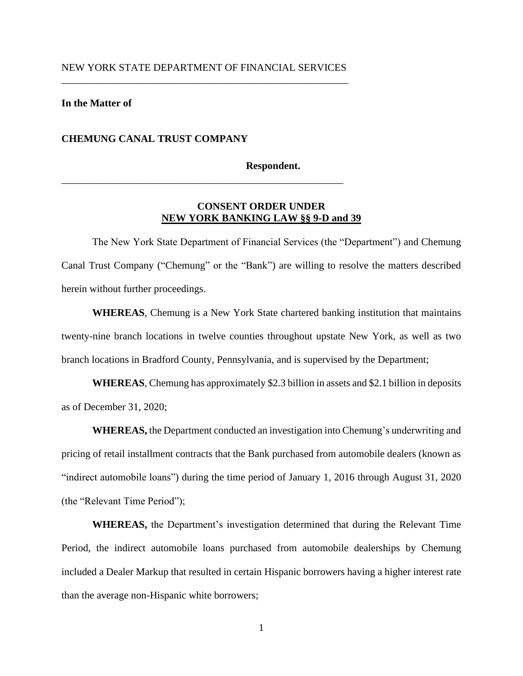## NEW YORK STATE DEPARTMENT OF FINANCIAL SERVICES \_\_\_\_\_\_\_\_\_\_\_\_\_\_\_\_\_\_\_\_\_\_\_\_\_\_\_\_\_\_\_\_\_\_\_\_\_\_\_\_\_\_\_\_\_\_\_\_\_\_\_\_\_\_\_\_

\_\_\_\_\_\_\_\_\_\_\_\_\_\_\_\_\_\_\_\_\_\_\_\_\_\_\_\_\_\_\_\_\_\_\_\_\_\_\_\_\_\_\_\_\_\_\_\_\_\_\_\_\_\_\_

### **In the Matter of**

### **CHEMUNG CANAL TRUST COMPANY**

#### **Respondent.**

## **CONSENT ORDER UNDER NEW YORK BANKING LAW §§ 9-D and 39**

The New York State Department of Financial Services (the "Department") and Chemung Canal Trust Company ("Chemung" or the "Bank") are willing to resolve the matters described herein without further proceedings.

**WHEREAS**, Chemung is a New York State chartered banking institution that maintains twenty-nine branch locations in twelve counties throughout upstate New York, as well as two branch locations in Bradford County, Pennsylvania, and is supervised by the Department;

**WHEREAS**, Chemung has approximately \$2.3 billion in assets and \$2.1 billion in deposits as of December 31, 2020;

**WHEREAS,** the Department conducted an investigation into Chemung's underwriting and pricing of retail installment contracts that the Bank purchased from automobile dealers (known as "indirect automobile loans") during the time period of January 1, 2016 through August 31, 2020 (the "Relevant Time Period");

**WHEREAS,** the Department's investigation determined that during the Relevant Time Period, the indirect automobile loans purchased from automobile dealerships by Chemung included a Dealer Markup that resulted in certain Hispanic borrowers having a higher interest rate than the average non-Hispanic white borrowers;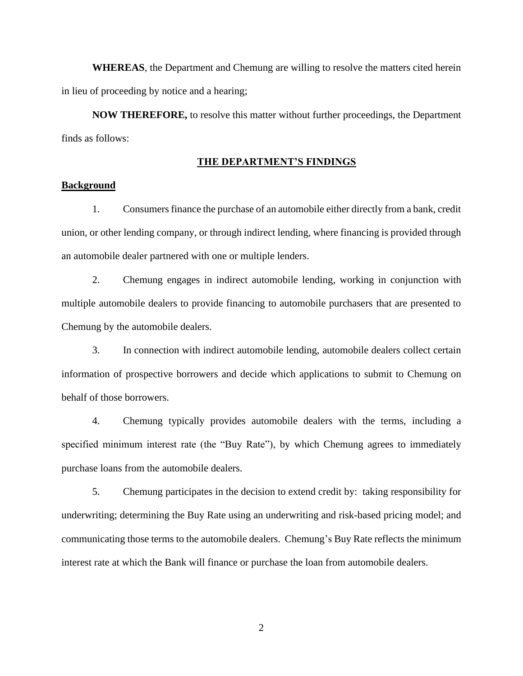**WHEREAS**, the Department and Chemung are willing to resolve the matters cited herein in lieu of proceeding by notice and a hearing;

**NOW THEREFORE,** to resolve this matter without further proceedings, the Department finds as follows:

#### **THE DEPARTMENT'S FINDINGS**

### **Background**

1. Consumers finance the purchase of an automobile either directly from a bank, credit union, or other lending company, or through indirect lending, where financing is provided through an automobile dealer partnered with one or multiple lenders.

2. Chemung engages in indirect automobile lending, working in conjunction with multiple automobile dealers to provide financing to automobile purchasers that are presented to Chemung by the automobile dealers.

3. In connection with indirect automobile lending, automobile dealers collect certain information of prospective borrowers and decide which applications to submit to Chemung on behalf of those borrowers.

4. Chemung typically provides automobile dealers with the terms, including a specified minimum interest rate (the "Buy Rate"), by which Chemung agrees to immediately purchase loans from the automobile dealers.

5. Chemung participates in the decision to extend credit by: taking responsibility for underwriting; determining the Buy Rate using an underwriting and risk-based pricing model; and communicating those terms to the automobile dealers. Chemung's Buy Rate reflects the minimum interest rate at which the Bank will finance or purchase the loan from automobile dealers.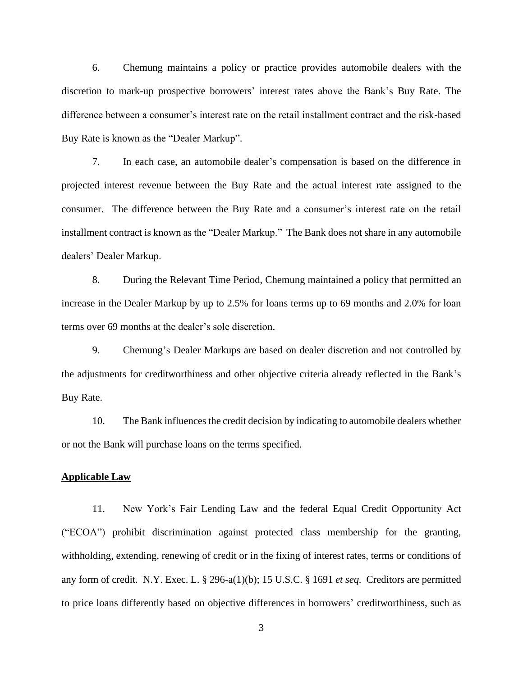6. Chemung maintains a policy or practice provides automobile dealers with the discretion to mark-up prospective borrowers' interest rates above the Bank's Buy Rate. The difference between a consumer's interest rate on the retail installment contract and the risk-based Buy Rate is known as the "Dealer Markup".

7. In each case, an automobile dealer's compensation is based on the difference in projected interest revenue between the Buy Rate and the actual interest rate assigned to the consumer. The difference between the Buy Rate and a consumer's interest rate on the retail installment contract is known as the "Dealer Markup." The Bank does not share in any automobile dealers' Dealer Markup.

8. During the Relevant Time Period, Chemung maintained a policy that permitted an increase in the Dealer Markup by up to 2.5% for loans terms up to 69 months and 2.0% for loan terms over 69 months at the dealer's sole discretion.

9. Chemung's Dealer Markups are based on dealer discretion and not controlled by the adjustments for creditworthiness and other objective criteria already reflected in the Bank's Buy Rate.

10. The Bank influences the credit decision by indicating to automobile dealers whether or not the Bank will purchase loans on the terms specified.

#### **Applicable Law**

11. New York's Fair Lending Law and the federal Equal Credit Opportunity Act ("ECOA") prohibit discrimination against protected class membership for the granting, withholding, extending, renewing of credit or in the fixing of interest rates, terms or conditions of any form of credit. N.Y. Exec. L. § 296-a(1)(b); 15 U.S.C. § 1691 *et seq.* Creditors are permitted to price loans differently based on objective differences in borrowers' creditworthiness, such as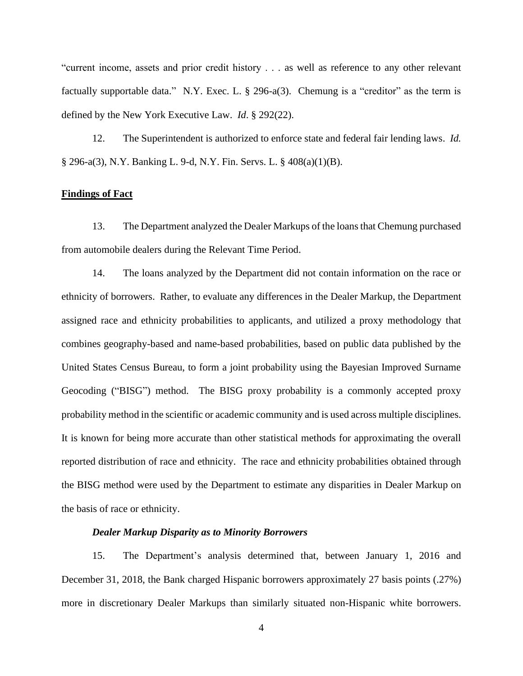"current income, assets and prior credit history . . . as well as reference to any other relevant factually supportable data." N.Y. Exec. L.  $\S$  296-a(3). Chemung is a "creditor" as the term is defined by the New York Executive Law. *Id*. § 292(22).

12. The Superintendent is authorized to enforce state and federal fair lending laws. *Id.*  § 296-a(3), N.Y. Banking L. 9-d, N.Y. Fin. Servs. L. § 408(a)(1)(B).

### **Findings of Fact**

13. The Department analyzed the Dealer Markups of the loansthat Chemung purchased from automobile dealers during the Relevant Time Period.

14. The loans analyzed by the Department did not contain information on the race or ethnicity of borrowers. Rather, to evaluate any differences in the Dealer Markup, the Department assigned race and ethnicity probabilities to applicants, and utilized a proxy methodology that combines geography-based and name-based probabilities, based on public data published by the United States Census Bureau, to form a joint probability using the Bayesian Improved Surname Geocoding ("BISG") method. The BISG proxy probability is a commonly accepted proxy probability method in the scientific or academic community and is used across multiple disciplines. It is known for being more accurate than other statistical methods for approximating the overall reported distribution of race and ethnicity. The race and ethnicity probabilities obtained through the BISG method were used by the Department to estimate any disparities in Dealer Markup on the basis of race or ethnicity.

### *Dealer Markup Disparity as to Minority Borrowers*

15. The Department's analysis determined that, between January 1, 2016 and December 31, 2018, the Bank charged Hispanic borrowers approximately 27 basis points (.27%) more in discretionary Dealer Markups than similarly situated non-Hispanic white borrowers.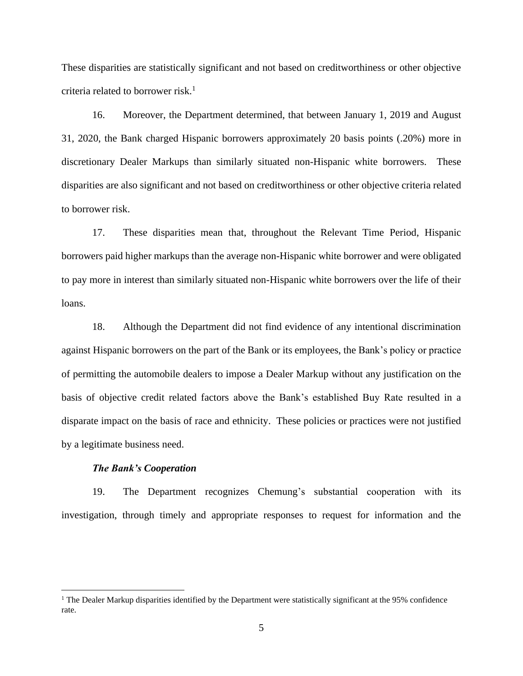These disparities are statistically significant and not based on creditworthiness or other objective criteria related to borrower risk. $<sup>1</sup>$ </sup>

16. Moreover, the Department determined, that between January 1, 2019 and August 31, 2020, the Bank charged Hispanic borrowers approximately 20 basis points (.20%) more in discretionary Dealer Markups than similarly situated non-Hispanic white borrowers. These disparities are also significant and not based on creditworthiness or other objective criteria related to borrower risk.

17. These disparities mean that, throughout the Relevant Time Period, Hispanic borrowers paid higher markups than the average non-Hispanic white borrower and were obligated to pay more in interest than similarly situated non-Hispanic white borrowers over the life of their loans.

18. Although the Department did not find evidence of any intentional discrimination against Hispanic borrowers on the part of the Bank or its employees, the Bank's policy or practice of permitting the automobile dealers to impose a Dealer Markup without any justification on the basis of objective credit related factors above the Bank's established Buy Rate resulted in a disparate impact on the basis of race and ethnicity. These policies or practices were not justified by a legitimate business need.

## *The Bank's Cooperation*

19. The Department recognizes Chemung's substantial cooperation with its investigation, through timely and appropriate responses to request for information and the

<sup>&</sup>lt;sup>1</sup> The Dealer Markup disparities identified by the Department were statistically significant at the 95% confidence rate.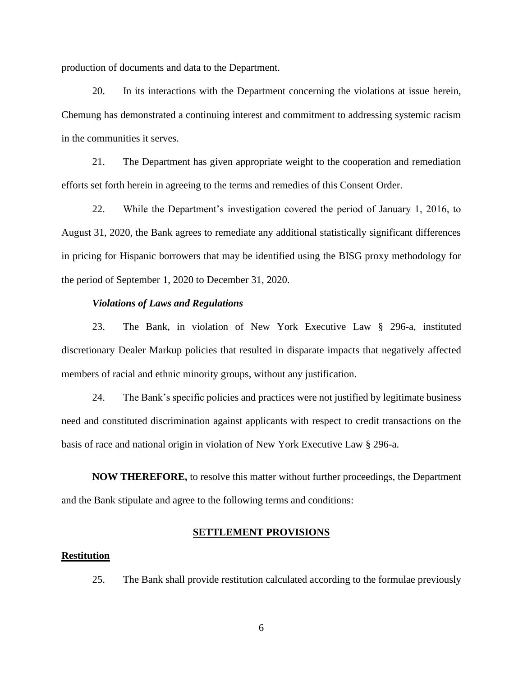production of documents and data to the Department.

20. In its interactions with the Department concerning the violations at issue herein, Chemung has demonstrated a continuing interest and commitment to addressing systemic racism in the communities it serves.

21. The Department has given appropriate weight to the cooperation and remediation efforts set forth herein in agreeing to the terms and remedies of this Consent Order.

22. While the Department's investigation covered the period of January 1, 2016, to August 31, 2020, the Bank agrees to remediate any additional statistically significant differences in pricing for Hispanic borrowers that may be identified using the BISG proxy methodology for the period of September 1, 2020 to December 31, 2020.

#### *Violations of Laws and Regulations*

23. The Bank, in violation of New York Executive Law § 296-a, instituted discretionary Dealer Markup policies that resulted in disparate impacts that negatively affected members of racial and ethnic minority groups, without any justification.

24. The Bank's specific policies and practices were not justified by legitimate business need and constituted discrimination against applicants with respect to credit transactions on the basis of race and national origin in violation of New York Executive Law § 296-a.

**NOW THEREFORE,** to resolve this matter without further proceedings, the Department and the Bank stipulate and agree to the following terms and conditions:

### **SETTLEMENT PROVISIONS**

#### **Restitution**

25. The Bank shall provide restitution calculated according to the formulae previously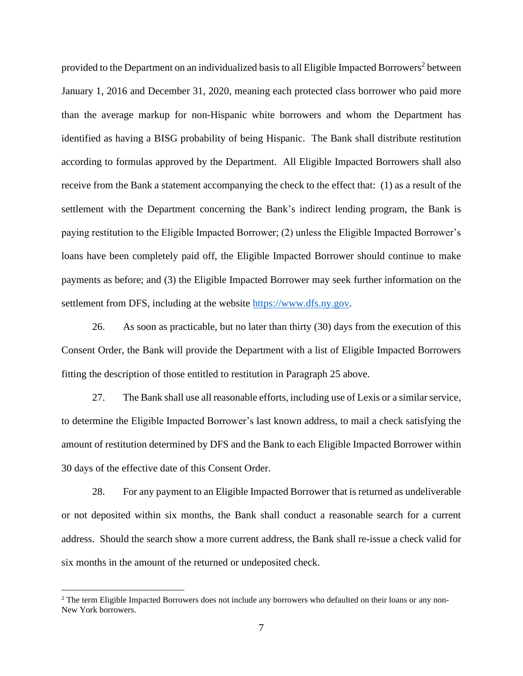provided to the Department on an individualized basis to all Eligible Impacted Borrowers<sup>2</sup> between January 1, 2016 and December 31, 2020, meaning each protected class borrower who paid more than the average markup for non-Hispanic white borrowers and whom the Department has identified as having a BISG probability of being Hispanic. The Bank shall distribute restitution according to formulas approved by the Department. All Eligible Impacted Borrowers shall also receive from the Bank a statement accompanying the check to the effect that: (1) as a result of the settlement with the Department concerning the Bank's indirect lending program, the Bank is paying restitution to the Eligible Impacted Borrower; (2) unless the Eligible Impacted Borrower's loans have been completely paid off, the Eligible Impacted Borrower should continue to make payments as before; and (3) the Eligible Impacted Borrower may seek further information on the settlement from DFS, including at the website [https://www.dfs.ny.gov.](https://www.dfs.ny.gov/)

26. As soon as practicable, but no later than thirty (30) days from the execution of this Consent Order, the Bank will provide the Department with a list of Eligible Impacted Borrowers fitting the description of those entitled to restitution in Paragraph 25 above.

27. The Bank shall use all reasonable efforts, including use of Lexis or a similar service, to determine the Eligible Impacted Borrower's last known address, to mail a check satisfying the amount of restitution determined by DFS and the Bank to each Eligible Impacted Borrower within 30 days of the effective date of this Consent Order.

28. For any payment to an Eligible Impacted Borrower that is returned as undeliverable or not deposited within six months, the Bank shall conduct a reasonable search for a current address. Should the search show a more current address, the Bank shall re-issue a check valid for six months in the amount of the returned or undeposited check.

<sup>&</sup>lt;sup>2</sup> The term Eligible Impacted Borrowers does not include any borrowers who defaulted on their loans or any non-New York borrowers.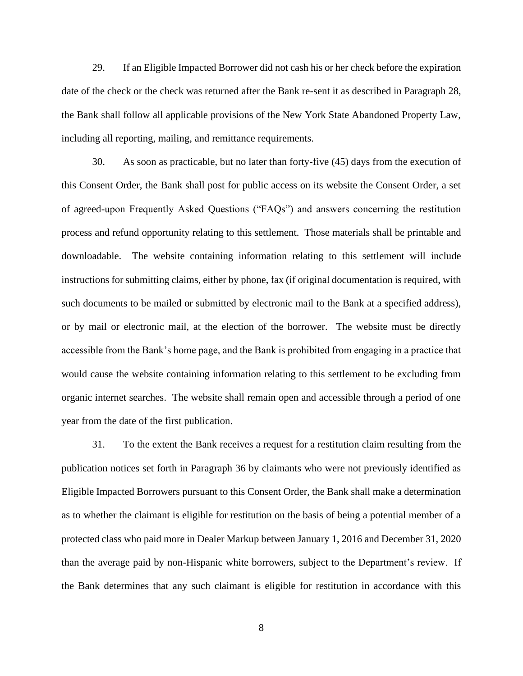29. If an Eligible Impacted Borrower did not cash his or her check before the expiration date of the check or the check was returned after the Bank re-sent it as described in Paragraph 28, the Bank shall follow all applicable provisions of the New York State Abandoned Property Law, including all reporting, mailing, and remittance requirements.

30. As soon as practicable, but no later than forty-five (45) days from the execution of this Consent Order, the Bank shall post for public access on its website the Consent Order, a set of agreed-upon Frequently Asked Questions ("FAQs") and answers concerning the restitution process and refund opportunity relating to this settlement. Those materials shall be printable and downloadable. The website containing information relating to this settlement will include instructions for submitting claims, either by phone, fax (if original documentation is required, with such documents to be mailed or submitted by electronic mail to the Bank at a specified address), or by mail or electronic mail, at the election of the borrower. The website must be directly accessible from the Bank's home page, and the Bank is prohibited from engaging in a practice that would cause the website containing information relating to this settlement to be excluding from organic internet searches. The website shall remain open and accessible through a period of one year from the date of the first publication.

31. To the extent the Bank receives a request for a restitution claim resulting from the publication notices set forth in Paragraph 36 by claimants who were not previously identified as Eligible Impacted Borrowers pursuant to this Consent Order, the Bank shall make a determination as to whether the claimant is eligible for restitution on the basis of being a potential member of a protected class who paid more in Dealer Markup between January 1, 2016 and December 31, 2020 than the average paid by non-Hispanic white borrowers, subject to the Department's review. If the Bank determines that any such claimant is eligible for restitution in accordance with this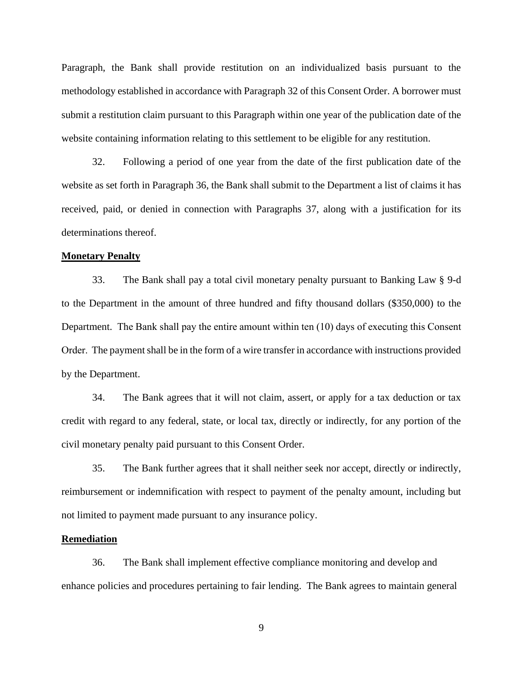Paragraph, the Bank shall provide restitution on an individualized basis pursuant to the methodology established in accordance with Paragraph 32 of this Consent Order. A borrower must submit a restitution claim pursuant to this Paragraph within one year of the publication date of the website containing information relating to this settlement to be eligible for any restitution.

32. Following a period of one year from the date of the first publication date of the website as set forth in Paragraph 36, the Bank shall submit to the Department a list of claims it has received, paid, or denied in connection with Paragraphs 37, along with a justification for its determinations thereof.

## **Monetary Penalty**

33. The Bank shall pay a total civil monetary penalty pursuant to Banking Law § 9-d to the Department in the amount of three hundred and fifty thousand dollars (\$350,000) to the Department. The Bank shall pay the entire amount within ten (10) days of executing this Consent Order. The payment shall be in the form of a wire transfer in accordance with instructions provided by the Department.

34. The Bank agrees that it will not claim, assert, or apply for a tax deduction or tax credit with regard to any federal, state, or local tax, directly or indirectly, for any portion of the civil monetary penalty paid pursuant to this Consent Order.

35. The Bank further agrees that it shall neither seek nor accept, directly or indirectly, reimbursement or indemnification with respect to payment of the penalty amount, including but not limited to payment made pursuant to any insurance policy.

#### **Remediation**

36. The Bank shall implement effective compliance monitoring and develop and enhance policies and procedures pertaining to fair lending. The Bank agrees to maintain general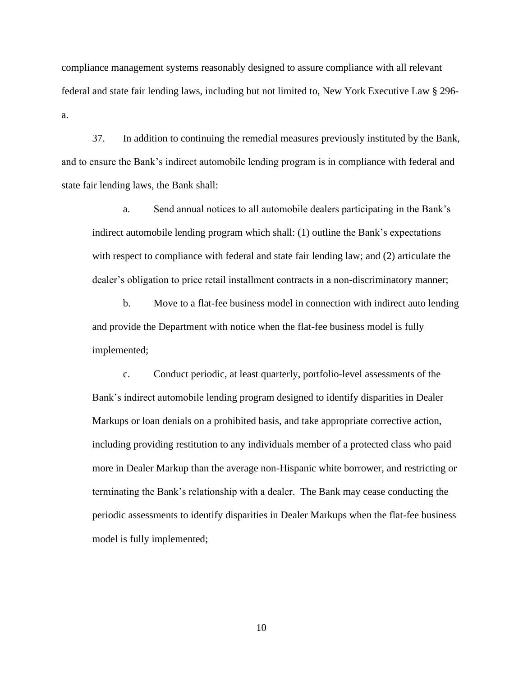compliance management systems reasonably designed to assure compliance with all relevant federal and state fair lending laws, including but not limited to, New York Executive Law § 296 a.

37. In addition to continuing the remedial measures previously instituted by the Bank, and to ensure the Bank's indirect automobile lending program is in compliance with federal and state fair lending laws, the Bank shall:

a. Send annual notices to all automobile dealers participating in the Bank's indirect automobile lending program which shall: (1) outline the Bank's expectations with respect to compliance with federal and state fair lending law; and (2) articulate the dealer's obligation to price retail installment contracts in a non-discriminatory manner;

b. Move to a flat-fee business model in connection with indirect auto lending and provide the Department with notice when the flat-fee business model is fully implemented;

c. Conduct periodic, at least quarterly, portfolio-level assessments of the Bank's indirect automobile lending program designed to identify disparities in Dealer Markups or loan denials on a prohibited basis, and take appropriate corrective action, including providing restitution to any individuals member of a protected class who paid more in Dealer Markup than the average non-Hispanic white borrower, and restricting or terminating the Bank's relationship with a dealer. The Bank may cease conducting the periodic assessments to identify disparities in Dealer Markups when the flat-fee business model is fully implemented;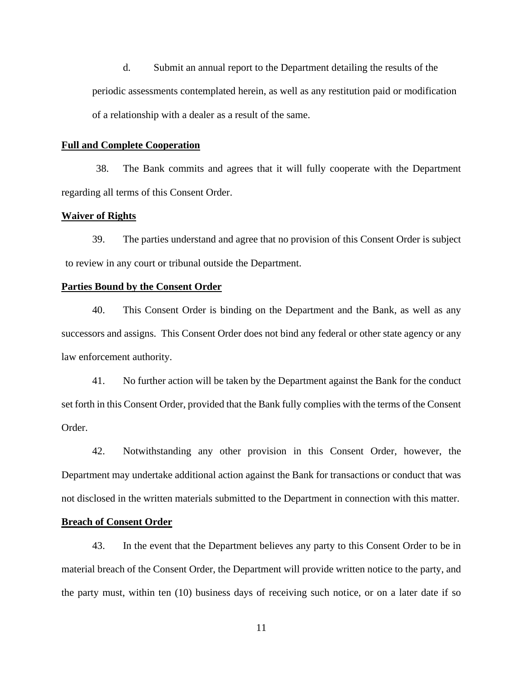d. Submit an annual report to the Department detailing the results of the periodic assessments contemplated herein, as well as any restitution paid or modification of a relationship with a dealer as a result of the same.

## **Full and Complete Cooperation**

38. The Bank commits and agrees that it will fully cooperate with the Department regarding all terms of this Consent Order.

### **Waiver of Rights**

39. The parties understand and agree that no provision of this Consent Order is subject to review in any court or tribunal outside the Department.

#### **Parties Bound by the Consent Order**

40. This Consent Order is binding on the Department and the Bank, as well as any successors and assigns. This Consent Order does not bind any federal or other state agency or any law enforcement authority.

41. No further action will be taken by the Department against the Bank for the conduct set forth in this Consent Order, provided that the Bank fully complies with the terms of the Consent Order.

42. Notwithstanding any other provision in this Consent Order, however, the Department may undertake additional action against the Bank for transactions or conduct that was not disclosed in the written materials submitted to the Department in connection with this matter.

## **Breach of Consent Order**

43. In the event that the Department believes any party to this Consent Order to be in material breach of the Consent Order, the Department will provide written notice to the party, and the party must, within ten (10) business days of receiving such notice, or on a later date if so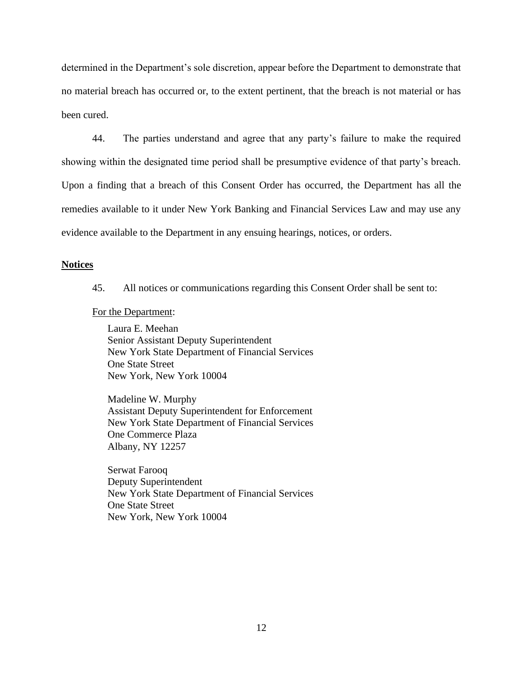determined in the Department's sole discretion, appear before the Department to demonstrate that no material breach has occurred or, to the extent pertinent, that the breach is not material or has been cured.

44. The parties understand and agree that any party's failure to make the required showing within the designated time period shall be presumptive evidence of that party's breach. Upon a finding that a breach of this Consent Order has occurred, the Department has all the remedies available to it under New York Banking and Financial Services Law and may use any evidence available to the Department in any ensuing hearings, notices, or orders.

### **Notices**

45. All notices or communications regarding this Consent Order shall be sent to:

For the Department:

Laura E. Meehan Senior Assistant Deputy Superintendent New York State Department of Financial Services One State Street New York, New York 10004

Madeline W. Murphy Assistant Deputy Superintendent for Enforcement New York State Department of Financial Services One Commerce Plaza Albany, NY 12257

Serwat Farooq Deputy Superintendent New York State Department of Financial Services One State Street New York, New York 10004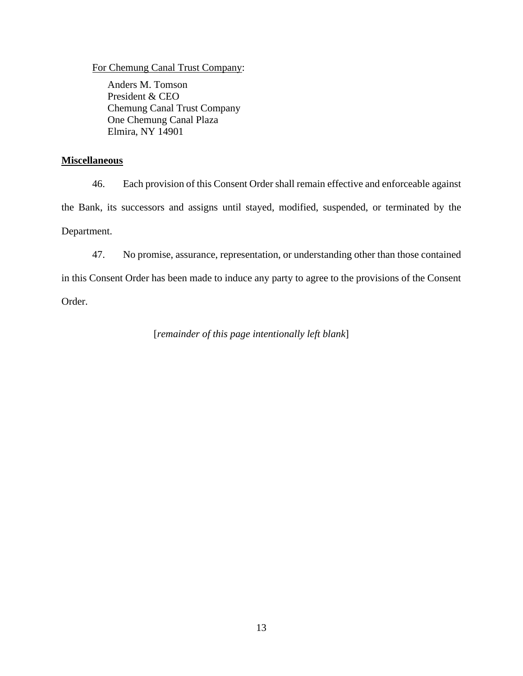## For Chemung Canal Trust Company:

Anders M. Tomson President & CEO Chemung Canal Trust Company One Chemung Canal Plaza Elmira, NY 14901

## **Miscellaneous**

46. Each provision of this Consent Order shall remain effective and enforceable against the Bank, its successors and assigns until stayed, modified, suspended, or terminated by the Department.

47. No promise, assurance, representation, or understanding other than those contained

in this Consent Order has been made to induce any party to agree to the provisions of the Consent Order.

[*remainder of this page intentionally left blank*]